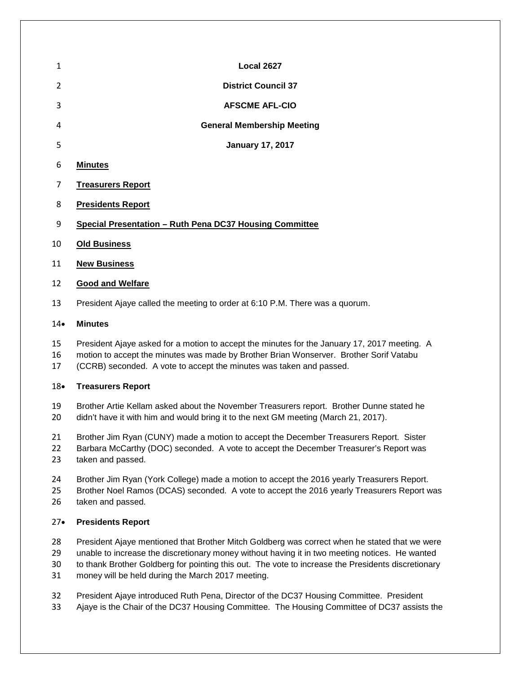| 1  | <b>Local 2627</b>                                       |
|----|---------------------------------------------------------|
| 2  | <b>District Council 37</b>                              |
| 3  | <b>AFSCME AFL-CIO</b>                                   |
| 4  | <b>General Membership Meeting</b>                       |
| 5  | <b>January 17, 2017</b>                                 |
| 6  | <b>Minutes</b>                                          |
| 7  | <b>Treasurers Report</b>                                |
| 8  | <b>Presidents Report</b>                                |
| 9  | Special Presentation - Ruth Pena DC37 Housing Committee |
| 10 | <b>Old Business</b>                                     |
| 11 | <b>New Business</b>                                     |
| 12 | <b>Good and Welfare</b>                                 |
|    |                                                         |

President Ajaye called the meeting to order at 6:10 P.M. There was a quorum.

### • **Minutes**

- President Ajaye asked for a motion to accept the minutes for the January 17, 2017 meeting. A
- motion to accept the minutes was made by Brother Brian Wonserver. Brother Sorif Vatabu
- (CCRB) seconded. A vote to accept the minutes was taken and passed.

# • **Treasurers Report**

- Brother Artie Kellam asked about the November Treasurers report. Brother Dunne stated he
- didn't have it with him and would bring it to the next GM meeting (March 21, 2017).
- Brother Jim Ryan (CUNY) made a motion to accept the December Treasurers Report. Sister
- Barbara McCarthy (DOC) seconded. A vote to accept the December Treasurer's Report was taken and passed.
- Brother Jim Ryan (York College) made a motion to accept the 2016 yearly Treasurers Report.
- Brother Noel Ramos (DCAS) seconded. A vote to accept the 2016 yearly Treasurers Report was taken and passed.

# • **Presidents Report**

- President Ajaye mentioned that Brother Mitch Goldberg was correct when he stated that we were
- unable to increase the discretionary money without having it in two meeting notices. He wanted
- to thank Brother Goldberg for pointing this out. The vote to increase the Presidents discretionary
- money will be held during the March 2017 meeting.
- President Ajaye introduced Ruth Pena, Director of the DC37 Housing Committee. President
- Ajaye is the Chair of the DC37 Housing Committee. The Housing Committee of DC37 assists the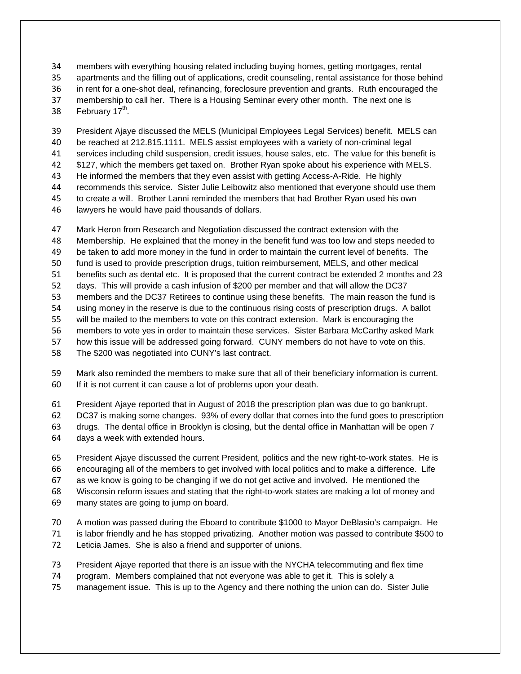members with everything housing related including buying homes, getting mortgages, rental apartments and the filling out of applications, credit counseling, rental assistance for those behind in rent for a one-shot deal, refinancing, foreclosure prevention and grants. Ruth encouraged the membership to call her. There is a Housing Seminar every other month. The next one is 38 February  $17<sup>th</sup>$ .

 President Ajaye discussed the MELS (Municipal Employees Legal Services) benefit. MELS can be reached at 212.815.1111. MELS assist employees with a variety of non-criminal legal services including child suspension, credit issues, house sales, etc. The value for this benefit is \$127, which the members get taxed on. Brother Ryan spoke about his experience with MELS. He informed the members that they even assist with getting Access-A-Ride. He highly recommends this service. Sister Julie Leibowitz also mentioned that everyone should use them to create a will. Brother Lanni reminded the members that had Brother Ryan used his own lawyers he would have paid thousands of dollars.

 Mark Heron from Research and Negotiation discussed the contract extension with the Membership. He explained that the money in the benefit fund was too low and steps needed to be taken to add more money in the fund in order to maintain the current level of benefits. The fund is used to provide prescription drugs, tuition reimbursement, MELS, and other medical benefits such as dental etc. It is proposed that the current contract be extended 2 months and 23 days. This will provide a cash infusion of \$200 per member and that will allow the DC37 members and the DC37 Retirees to continue using these benefits. The main reason the fund is using money in the reserve is due to the continuous rising costs of prescription drugs. A ballot will be mailed to the members to vote on this contract extension. Mark is encouraging the members to vote yes in order to maintain these services. Sister Barbara McCarthy asked Mark how this issue will be addressed going forward. CUNY members do not have to vote on this. The \$200 was negotiated into CUNY's last contract.

 Mark also reminded the members to make sure that all of their beneficiary information is current. If it is not current it can cause a lot of problems upon your death.

President Ajaye reported that in August of 2018 the prescription plan was due to go bankrupt.

 DC37 is making some changes. 93% of every dollar that comes into the fund goes to prescription drugs. The dental office in Brooklyn is closing, but the dental office in Manhattan will be open 7

days a week with extended hours.

 President Ajaye discussed the current President, politics and the new right-to-work states. He is encouraging all of the members to get involved with local politics and to make a difference. Life as we know is going to be changing if we do not get active and involved. He mentioned the Wisconsin reform issues and stating that the right-to-work states are making a lot of money and many states are going to jump on board.

 A motion was passed during the Eboard to contribute \$1000 to Mayor DeBlasio's campaign. He is labor friendly and he has stopped privatizing. Another motion was passed to contribute \$500 to Leticia James. She is also a friend and supporter of unions.

- President Ajaye reported that there is an issue with the NYCHA telecommuting and flex time
- program. Members complained that not everyone was able to get it. This is solely a
- management issue. This is up to the Agency and there nothing the union can do. Sister Julie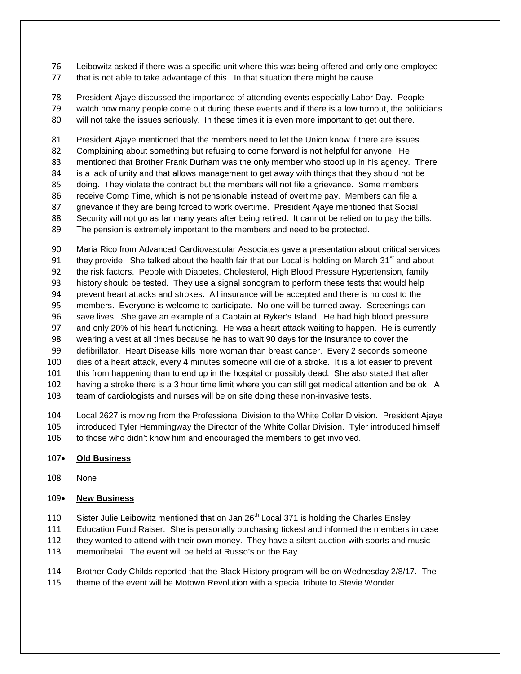Leibowitz asked if there was a specific unit where this was being offered and only one employee that is not able to take advantage of this. In that situation there might be cause.

 President Ajaye discussed the importance of attending events especially Labor Day. People watch how many people come out during these events and if there is a low turnout, the politicians

will not take the issues seriously. In these times it is even more important to get out there.

 President Ajaye mentioned that the members need to let the Union know if there are issues. Complaining about something but refusing to come forward is not helpful for anyone. He mentioned that Brother Frank Durham was the only member who stood up in his agency. There is a lack of unity and that allows management to get away with things that they should not be doing. They violate the contract but the members will not file a grievance. Some members receive Comp Time, which is not pensionable instead of overtime pay. Members can file a grievance if they are being forced to work overtime. President Ajaye mentioned that Social Security will not go as far many years after being retired. It cannot be relied on to pay the bills. The pension is extremely important to the members and need to be protected.

 Maria Rico from Advanced Cardiovascular Associates gave a presentation about critical services 91 they provide. She talked about the health fair that our Local is holding on March  $31<sup>st</sup>$  and about the risk factors. People with Diabetes, Cholesterol, High Blood Pressure Hypertension, family history should be tested. They use a signal sonogram to perform these tests that would help prevent heart attacks and strokes. All insurance will be accepted and there is no cost to the members. Everyone is welcome to participate. No one will be turned away. Screenings can save lives. She gave an example of a Captain at Ryker's Island. He had high blood pressure and only 20% of his heart functioning. He was a heart attack waiting to happen. He is currently wearing a vest at all times because he has to wait 90 days for the insurance to cover the defibrillator. Heart Disease kills more woman than breast cancer. Every 2 seconds someone dies of a heart attack, every 4 minutes someone will die of a stroke. It is a lot easier to prevent this from happening than to end up in the hospital or possibly dead. She also stated that after having a stroke there is a 3 hour time limit where you can still get medical attention and be ok. A team of cardiologists and nurses will be on site doing these non-invasive tests.

 Local 2627 is moving from the Professional Division to the White Collar Division. President Ajaye introduced Tyler Hemmingway the Director of the White Collar Division. Tyler introduced himself 106 to those who didn't know him and encouraged the members to get involved.

# • **Old Business**

None

# • **New Business**

110 Sister Julie Leibowitz mentioned that on Jan  $26<sup>th</sup>$  Local 371 is holding the Charles Ensley

- Education Fund Raiser. She is personally purchasing tickest and informed the members in case
- they wanted to attend with their own money. They have a silent auction with sports and music
- memoribelai. The event will be held at Russo's on the Bay.
- Brother Cody Childs reported that the Black History program will be on Wednesday 2/8/17. The
- theme of the event will be Motown Revolution with a special tribute to Stevie Wonder.